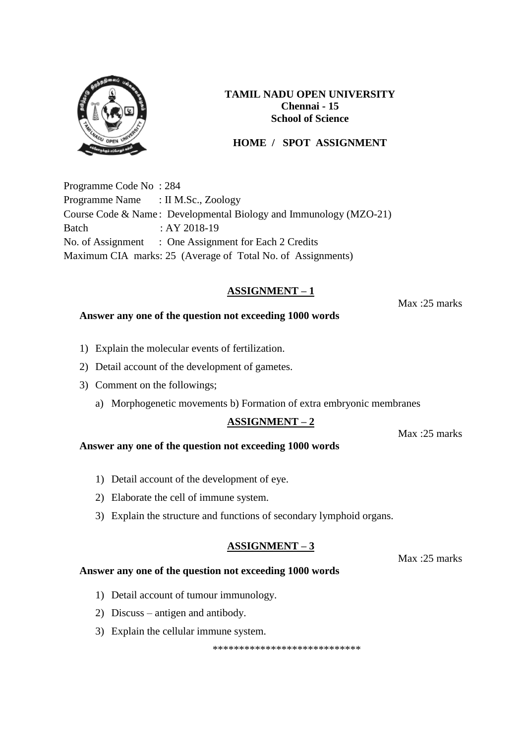

# **HOME / SPOT ASSIGNMENT**

Programme Code No : 284 Programme Name : II M.Sc., Zoology Course Code & Name : Developmental Biology and Immunology (MZO-21) Batch : AY 2018-19 No. of Assignment : One Assignment for Each 2 Credits Maximum CIA marks: 25 (Average of Total No. of Assignments)

## **ASSIGNMENT – 1**

Max :25 marks

#### **Answer any one of the question not exceeding 1000 words**

- 1) Explain the molecular events of fertilization.
- 2) Detail account of the development of gametes.
- 3) Comment on the followings;
	- a) Morphogenetic movements b) Formation of extra embryonic membranes

#### **ASSIGNMENT – 2**

Max :25 marks

#### **Answer any one of the question not exceeding 1000 words**

- 1) Detail account of the development of eye.
- 2) Elaborate the cell of immune system.
- 3) Explain the structure and functions of secondary lymphoid organs.

#### **ASSIGNMENT – 3**

Max :25 marks

#### **Answer any one of the question not exceeding 1000 words**

- 1) Detail account of tumour immunology.
- 2) Discuss antigen and antibody.
- 3) Explain the cellular immune system.

\*\*\*\*\*\*\*\*\*\*\*\*\*\*\*\*\*\*\*\*\*\*\*\*\*\*\*\*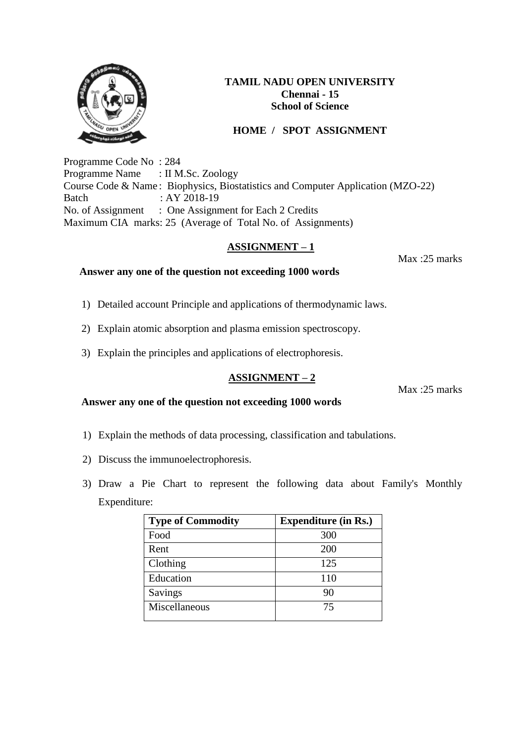

# **HOME / SPOT ASSIGNMENT**

Programme Code No : 284 Programme Name : II M.Sc. Zoology Course Code & Name : Biophysics, Biostatistics and Computer Application (MZO-22) Batch : AY 2018-19 No. of Assignment : One Assignment for Each 2 Credits Maximum CIA marks: 25 (Average of Total No. of Assignments)

## **ASSIGNMENT – 1**

Max :25 marks

## **Answer any one of the question not exceeding 1000 words**

- 1) Detailed account Principle and applications of thermodynamic laws.
- 2) Explain atomic absorption and plasma emission spectroscopy.
- 3) Explain the principles and applications of electrophoresis.

# **ASSIGNMENT – 2**

Max :25 marks

#### **Answer any one of the question not exceeding 1000 words**

- 1) Explain the methods of data processing, classification and tabulations.
- 2) Discuss the immunoelectrophoresis.
- 3) Draw a Pie Chart to represent the following data about Family's Monthly Expenditure:

| <b>Type of Commodity</b> | <b>Expenditure (in Rs.)</b> |  |  |  |  |
|--------------------------|-----------------------------|--|--|--|--|
| Food                     | 300                         |  |  |  |  |
| Rent                     | 200                         |  |  |  |  |
| Clothing                 | 125                         |  |  |  |  |
| Education                | 110                         |  |  |  |  |
| Savings                  | 90                          |  |  |  |  |
| Miscellaneous            | 75                          |  |  |  |  |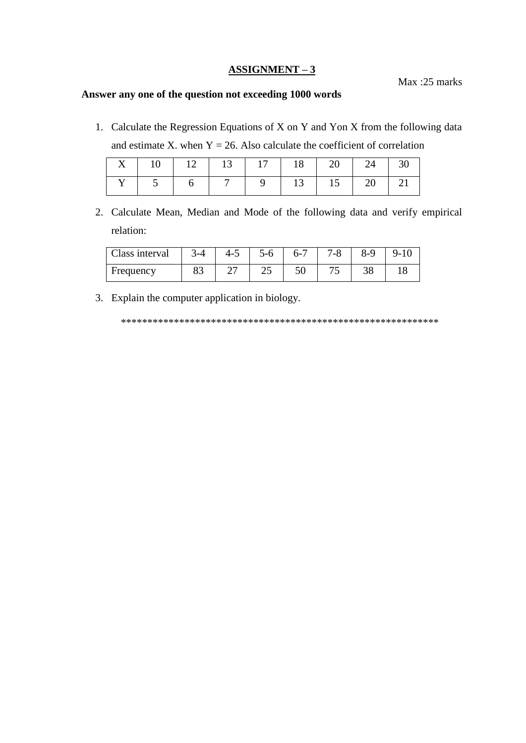#### $ASSIGNMENT-3$ </u>

Max:25 marks

# Answer any one of the question not exceeding 1000 words

1. Calculate the Regression Equations of X on Y and Yon X from the following data and estimate X. when  $Y = 26$ . Also calculate the coefficient of correlation

|  | X   10   12   13   17   18   20   24   30 |  |  |  |
|--|-------------------------------------------|--|--|--|
|  | Y   5   6   7   9   13   15   20   21     |  |  |  |

2. Calculate Mean, Median and Mode of the following data and verify empirical relation:

| Class interval | $3-4$ | $4 - 5$ | $5 - 6$ | $6 - 7$  | $7 - 8$ | $8-9$ | $9-10$ |
|----------------|-------|---------|---------|----------|---------|-------|--------|
| Frequency      | റാ    |         | رے      | 5٨<br>IJ |         |       |        |

3. Explain the computer application in biology.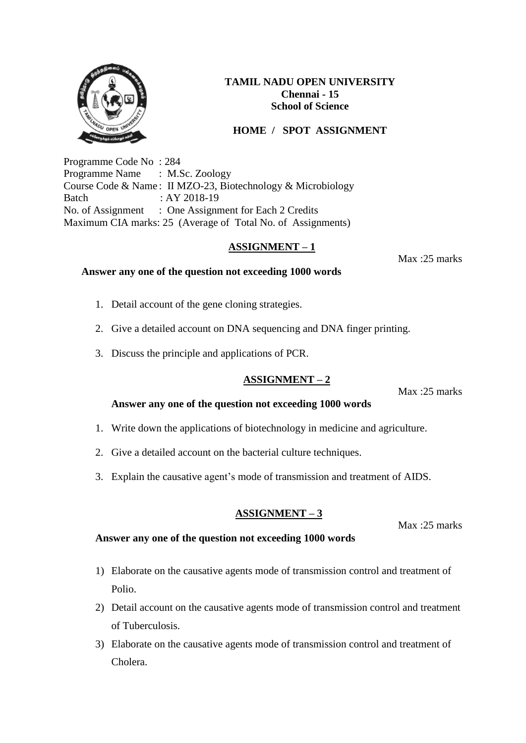# **HOME / SPOT ASSIGNMENT**

Programme Code No : 284 Programme Name : M.Sc. Zoology Course Code & Name : II MZO-23, Biotechnology & Microbiology Batch : AY 2018-19 No. of Assignment : One Assignment for Each 2 Credits Maximum CIA marks: 25 (Average of Total No. of Assignments)

## **ASSIGNMENT – 1**

Max :25 marks

#### **Answer any one of the question not exceeding 1000 words**

- 1. Detail account of the gene cloning strategies.
- 2. Give a detailed account on DNA sequencing and DNA finger printing.
- 3. Discuss the principle and applications of PCR.

## **ASSIGNMENT – 2**

Max :25 marks

Max :25 marks

#### **Answer any one of the question not exceeding 1000 words**

- 1. Write down the applications of biotechnology in medicine and agriculture.
- 2. Give a detailed account on the bacterial culture techniques.
- 3. Explain the causative agent's mode of transmission and treatment of AIDS.

## **ASSIGNMENT – 3**

## **Answer any one of the question not exceeding 1000 words**

- 1) Elaborate on the causative agents mode of transmission control and treatment of Polio.
- 2) Detail account on the causative agents mode of transmission control and treatment of Tuberculosis.
- 3) Elaborate on the causative agents mode of transmission control and treatment of Cholera.

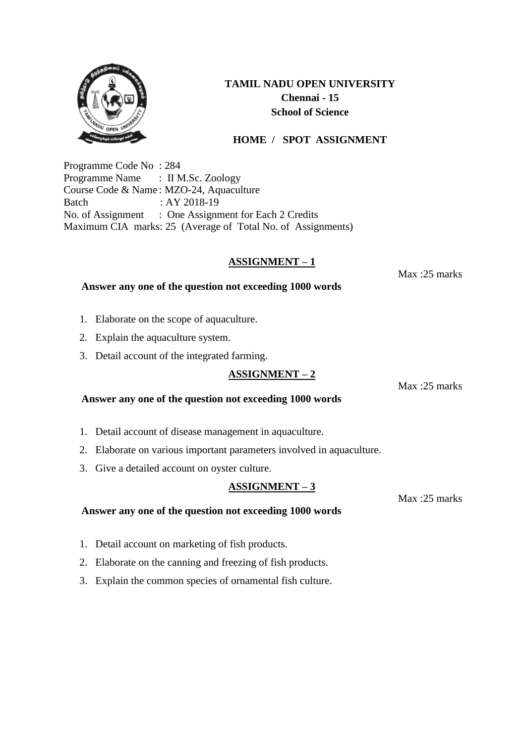

# **HOME / SPOT ASSIGNMENT**

Programme Code No : 284 Programme Name : II M.Sc. Zoology Course Code & Name : MZO-24, Aquaculture Batch : AY 2018-19 No. of Assignment : One Assignment for Each 2 Credits Maximum CIA marks: 25 (Average of Total No. of Assignments)

**Answer any one of the question not exceeding 1000 words** 

# **ASSIGNMENT – 1**

Max :25 marks

## 1. Elaborate on the scope of aquaculture.

- 2. Explain the aquaculture system.
- 3. Detail account of the integrated farming.

# **ASSIGNMENT – 2**

Max :25 marks

### **Answer any one of the question not exceeding 1000 words**

- 1. Detail account of disease management in aquaculture.
- 2. Elaborate on various important parameters involved in aquaculture.
- 3. Give a detailed account on oyster culture.

## **ASSIGNMENT – 3**

#### **Answer any one of the question not exceeding 1000 words**

- 1. Detail account on marketing of fish products.
- 2. Elaborate on the canning and freezing of fish products.
- 3. Explain the common species of ornamental fish culture.

Max :25 marks